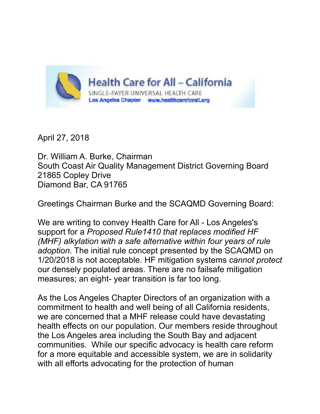

April 27, 2018

Dr. William A. Burke, Chairman South Coast Air Quality Management District Governing Board 21865 Copley Drive Diamond Bar, CA 91765

Greetings Chairman Burke and the SCAQMD Governing Board:

We are writing to convey Health Care for All - Los Angeles's support for a *Proposed Rule1410 that replaces modified HF (MHF) alkylation with a safe alternative within four years of rule adoption*. The initial rule concept presented by the SCAQMD on 1/20/2018 is not acceptable. HF mitigation systems *cannot protect*  our densely populated areas. There are no failsafe mitigation measures; an eight- year transition is far too long.

As the Los Angeles Chapter Directors of an organization with a commitment to health and well being of all California residents, we are concerned that a MHF release could have devastating health effects on our population. Our members reside throughout the Los Angeles area including the South Bay and adjacent communities. While our specific advocacy is health care reform for a more equitable and accessible system, we are in solidarity with all efforts advocating for the protection of human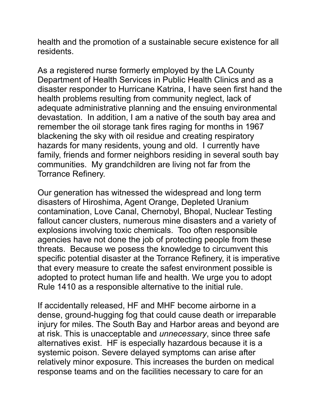health and the promotion of a sustainable secure existence for all residents.

As a registered nurse formerly employed by the LA County Department of Health Services in Public Health Clinics and as a disaster responder to Hurricane Katrina, I have seen first hand the health problems resulting from community neglect, lack of adequate administrative planning and the ensuing environmental devastation. In addition, I am a native of the south bay area and remember the oil storage tank fires raging for months in 1967 blackening the sky with oil residue and creating respiratory hazards for many residents, young and old. I currently have family, friends and former neighbors residing in several south bay communities. My grandchildren are living not far from the Torrance Refinery.

Our generation has witnessed the widespread and long term disasters of Hiroshima, Agent Orange, Depleted Uranium contamination, Love Canal, Chernobyl, Bhopal, Nuclear Testing fallout cancer clusters, numerous mine disasters and a variety of explosions involving toxic chemicals. Too often responsible agencies have not done the job of protecting people from these threats. Because we posess the knowledge to circumvent this specific potential disaster at the Torrance Refinery, it is imperative that every measure to create the safest environment possible is adopted to protect human life and health. We urge you to adopt Rule 1410 as a responsible alternative to the initial rule.

If accidentally released, HF and MHF become airborne in a dense, ground-hugging fog that could cause death or irreparable injury for miles. The South Bay and Harbor areas and beyond are at risk. This is unacceptable and *unnecessary*, since three safe alternatives exist. HF is especially hazardous because it is a systemic poison. Severe delayed symptoms can arise after relatively minor exposure. This increases the burden on medical response teams and on the facilities necessary to care for an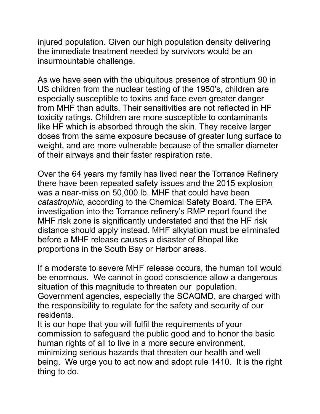injured population. Given our high population density delivering the immediate treatment needed by survivors would be an insurmountable challenge.

As we have seen with the ubiquitous presence of strontium 90 in US children from the nuclear testing of the 1950's, children are especially susceptible to toxins and face even greater danger from MHF than adults. Their sensitivities are not reflected in HF toxicity ratings. Children are more susceptible to contaminants like HF which is absorbed through the skin. They receive larger doses from the same exposure because of greater lung surface to weight, and are more vulnerable because of the smaller diameter of their airways and their faster respiration rate.

Over the 64 years my family has lived near the Torrance Refinery there have been repeated safety issues and the 2015 explosion was a near-miss on 50,000 lb. MHF that could have been *catastrophic*, according to the Chemical Safety Board. The EPA investigation into the Torrance refinery's RMP report found the MHF risk zone is significantly understated and that the HF risk distance should apply instead. MHF alkylation must be eliminated before a MHF release causes a disaster of Bhopal like proportions in the South Bay or Harbor areas.

If a moderate to severe MHF release occurs, the human toll would be enormous. We cannot in good conscience allow a dangerous situation of this magnitude to threaten our population. Government agencies, especially the SCAQMD, are charged with the responsibility to regulate for the safety and security of our residents.

It is our hope that you will fulfil the requirements of your commission to safeguard the public good and to honor the basic human rights of all to live in a more secure environment, minimizing serious hazards that threaten our health and well being. We urge you to act now and adopt rule 1410. It is the right thing to do.